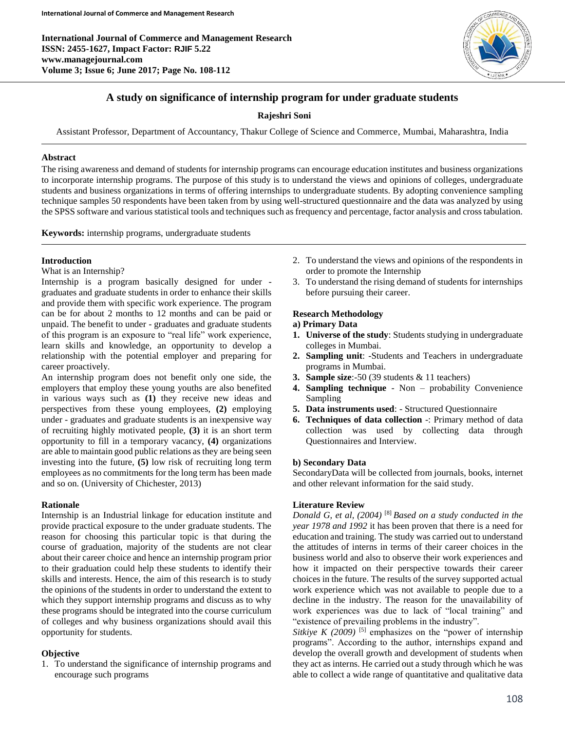**International Journal of Commerce and Management Research ISSN: 2455-1627, Impact Factor: RJIF 5.22 www.managejournal.com Volume 3; Issue 6; June 2017; Page No. 108-112**



# **A study on significance of internship program for under graduate students**

# **Rajeshri Soni**

Assistant Professor, Department of Accountancy, Thakur College of Science and Commerce, Mumbai, Maharashtra, India

### **Abstract**

The rising awareness and demand of students for internship programs can encourage education institutes and business organizations to incorporate internship programs. The purpose of this study is to understand the views and opinions of colleges, undergraduate students and business organizations in terms of offering internships to undergraduate students. By adopting convenience sampling technique samples 50 respondents have been taken from by using well-structured questionnaire and the data was analyzed by using the SPSS software and various statistical tools and techniques such as frequency and percentage, factor analysis and cross tabulation.

**Keywords:** internship programs, undergraduate students

### **Introduction**

#### What is an Internship?

Internship is a program basically designed for under graduates and graduate students in order to enhance their skills and provide them with specific work experience. The program can be for about 2 months to 12 months and can be paid or unpaid. The benefit to under - graduates and graduate students of this program is an exposure to "real life" work experience, learn skills and knowledge, an opportunity to develop a relationship with the potential employer and preparing for career proactively.

An internship program does not benefit only one side, the employers that employ these young youths are also benefited in various ways such as **(1)** they receive new ideas and perspectives from these young employees, **(2)** employing under - graduates and graduate students is an inexpensive way of recruiting highly motivated people, **(3)** it is an short term opportunity to fill in a temporary vacancy, **(4)** organizations are able to maintain good public relations as they are being seen investing into the future, **(5)** low risk of recruiting long term employees as no commitments for the long term has been made and so on. (University of Chichester, 2013)

### **Rationale**

Internship is an Industrial linkage for education institute and provide practical exposure to the under graduate students. The reason for choosing this particular topic is that during the course of graduation, majority of the students are not clear about their career choice and hence an internship program prior to their graduation could help these students to identify their skills and interests. Hence, the aim of this research is to study the opinions of the students in order to understand the extent to which they support internship programs and discuss as to why these programs should be integrated into the course curriculum of colleges and why business organizations should avail this opportunity for students.

### **Objective**

1. To understand the significance of internship programs and encourage such programs

- 2. To understand the views and opinions of the respondents in order to promote the Internship
- 3. To understand the rising demand of students for internships before pursuing their career.

### **Research Methodology**

## **a) Primary Data**

- **1. Universe of the study**: Students studying in undergraduate colleges in Mumbai.
- **2. Sampling unit**: -Students and Teachers in undergraduate programs in Mumbai.
- **3. Sample size**:-50 (39 students & 11 teachers)
- **4. Sampling technique**  Non probability Convenience Sampling
- **5. Data instruments used**: Structured Questionnaire
- **6. Techniques of data collection** -: Primary method of data collection was used by collecting data through Questionnaires and Interview.

### **b) Secondary Data**

SecondaryData will be collected from journals, books, internet and other relevant information for the said study.

### **Literature Review**

*Donald G, et al, (2004)* [8] *Based on a study conducted in the year 1978 and 1992* it has been proven that there is a need for education and training. The study was carried out to understand the attitudes of interns in terms of their career choices in the business world and also to observe their work experiences and how it impacted on their perspective towards their career choices in the future. The results of the survey supported actual work experience which was not available to people due to a decline in the industry. The reason for the unavailability of work experiences was due to lack of "local training" and "existence of prevailing problems in the industry".

*Sitkiye K (2009)* <sup>[5]</sup> emphasizes on the "power of internship" programs". According to the author, internships expand and develop the overall growth and development of students when they act as interns. He carried out a study through which he was able to collect a wide range of quantitative and qualitative data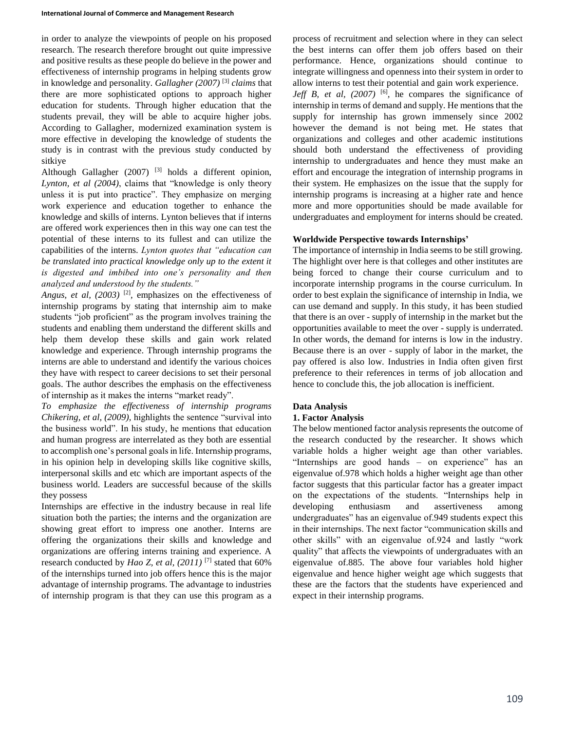in order to analyze the viewpoints of people on his proposed research. The research therefore brought out quite impressive and positive results as these people do believe in the power and effectiveness of internship programs in helping students grow in knowledge and personality. *Gallagher (2007)* [3] *claims* that there are more sophisticated options to approach higher education for students. Through higher education that the students prevail, they will be able to acquire higher jobs. According to Gallagher, modernized examination system is more effective in developing the knowledge of students the study is in contrast with the previous study conducted by sitkiye

Although Gallagher (2007) <sup>[3]</sup> holds a different opinion, *Lynton, et al (2004)*, claims that "knowledge is only theory unless it is put into practice". They emphasize on merging work experience and education together to enhance the knowledge and skills of interns. Lynton believes that if interns are offered work experiences then in this way one can test the potential of these interns to its fullest and can utilize the capabilities of the interns. *Lynton quotes that "education can be translated into practical knowledge only up to the extent it is digested and imbibed into one's personality and then analyzed and understood by the students."*

*Angus, et al, (2003)* <sup>[2]</sup>, emphasizes on the effectiveness of internship programs by stating that internship aim to make students "job proficient" as the program involves training the students and enabling them understand the different skills and help them develop these skills and gain work related knowledge and experience. Through internship programs the interns are able to understand and identify the various choices they have with respect to career decisions to set their personal goals. The author describes the emphasis on the effectiveness of internship as it makes the interns "market ready".

*To emphasize the effectiveness of internship programs Chikering, et al, (2009),* highlights the sentence "survival into the business world". In his study, he mentions that education and human progress are interrelated as they both are essential to accomplish one's personal goals in life. Internship programs, in his opinion help in developing skills like cognitive skills, interpersonal skills and etc which are important aspects of the business world. Leaders are successful because of the skills they possess

Internships are effective in the industry because in real life situation both the parties; the interns and the organization are showing great effort to impress one another. Interns are offering the organizations their skills and knowledge and organizations are offering interns training and experience. A research conducted by *Hao Z, et al, (2011)* [7] stated that 60% of the internships turned into job offers hence this is the major advantage of internship programs. The advantage to industries of internship program is that they can use this program as a process of recruitment and selection where in they can select the best interns can offer them job offers based on their performance. Hence, organizations should continue to integrate willingness and openness into their system in order to allow interns to test their potential and gain work experience.

*Jeff B, et al,*  $(2007)$ <sup>[6]</sup>, he compares the significance of internship in terms of demand and supply. He mentions that the supply for internship has grown immensely since 2002 however the demand is not being met. He states that organizations and colleges and other academic institutions should both understand the effectiveness of providing internship to undergraduates and hence they must make an effort and encourage the integration of internship programs in their system. He emphasizes on the issue that the supply for internship programs is increasing at a higher rate and hence more and more opportunities should be made available for undergraduates and employment for interns should be created.

# **Worldwide Perspective towards Internships'**

The importance of internship in India seems to be still growing. The highlight over here is that colleges and other institutes are being forced to change their course curriculum and to incorporate internship programs in the course curriculum. In order to best explain the significance of internship in India, we can use demand and supply. In this study, it has been studied that there is an over - supply of internship in the market but the opportunities available to meet the over - supply is underrated. In other words, the demand for interns is low in the industry. Because there is an over - supply of labor in the market, the pay offered is also low. Industries in India often given first preference to their references in terms of job allocation and hence to conclude this, the job allocation is inefficient.

### **Data Analysis**

### **1. Factor Analysis**

The below mentioned factor analysis represents the outcome of the research conducted by the researcher. It shows which variable holds a higher weight age than other variables. "Internships are good hands – on experience" has an eigenvalue of.978 which holds a higher weight age than other factor suggests that this particular factor has a greater impact on the expectations of the students. "Internships help in developing enthusiasm and assertiveness among undergraduates" has an eigenvalue of.949 students expect this in their internships. The next factor "communication skills and other skills" with an eigenvalue of.924 and lastly "work quality" that affects the viewpoints of undergraduates with an eigenvalue of.885. The above four variables hold higher eigenvalue and hence higher weight age which suggests that these are the factors that the students have experienced and expect in their internship programs.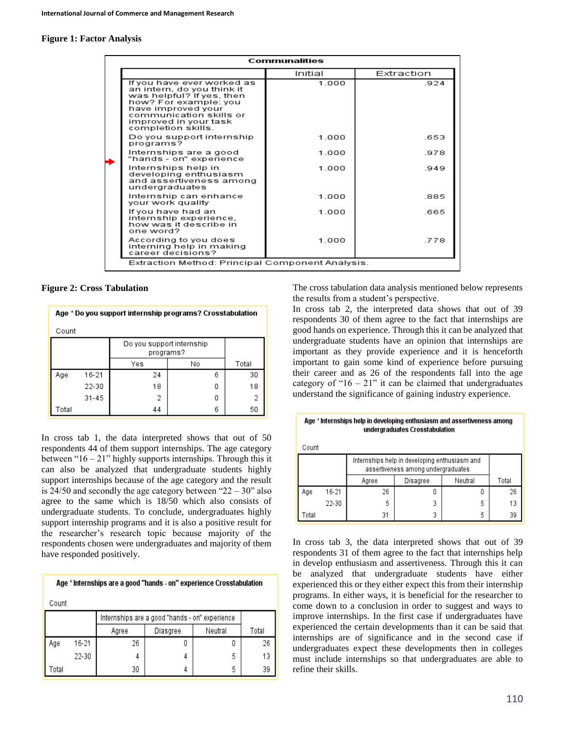#### **Figure 1: Factor Analysis**

| <b>Communalities</b>                                                                                                                                                                                           |         |                                                  |  |  |  |  |  |  |
|----------------------------------------------------------------------------------------------------------------------------------------------------------------------------------------------------------------|---------|--------------------------------------------------|--|--|--|--|--|--|
|                                                                                                                                                                                                                | Initial | Extraction                                       |  |  |  |  |  |  |
| If you have ever worked as<br>an intern, do you think it<br>was helpful? If yes, then<br>how? For example: you<br>have improved your<br>communication skills or<br>improved in your task<br>completion skills. | 1.000   | 924                                              |  |  |  |  |  |  |
| Do you support internship<br>programs?                                                                                                                                                                         | 1.000   | .653                                             |  |  |  |  |  |  |
| Internships are a good<br>"hands - on" experience                                                                                                                                                              | 1.000   | .978                                             |  |  |  |  |  |  |
| Internships help in<br>developing enthusiasm<br>and assertiveness among<br>undergraduates                                                                                                                      | 1.000   | .949                                             |  |  |  |  |  |  |
| Internship can enhance<br>your work quality                                                                                                                                                                    | 1.000   | .885                                             |  |  |  |  |  |  |
| If you have had an<br>internship experience,<br>how was it describe in<br>one word?                                                                                                                            | 1.000   | .665                                             |  |  |  |  |  |  |
| According to you does<br>interning help in making<br>career decisions?                                                                                                                                         | 1.000   | .778                                             |  |  |  |  |  |  |
|                                                                                                                                                                                                                |         | Extraction Method: Principal Component Analysis. |  |  |  |  |  |  |

**Figure 2: Cross Tabulation**

Age \* Do you support internship programs? Crosstabulation Count Do you support internship programs? Yes No Total  $16 - 21$ 24  $30<sup>2</sup>$ Age 6 0 22-30 18 18  $31 - 45$  $\overline{2}$ 0  $\overline{c}$ Total 44 6 50

In cross tab 1, the data interpreted shows that out of 50 respondents 44 of them support internships. The age category between " $16 - 21$ " highly supports internships. Through this it can also be analyzed that undergraduate students highly support internships because of the age category and the result is  $24/50$  and secondly the age category between " $22 - 30$ " also agree to the same which is 18/50 which also consists of undergraduate students. To conclude, undergraduates highly support internship programs and it is also a positive result for the researcher's research topic because majority of the respondents chosen were undergraduates and majority of them have responded positively.

|       | Age * Internships are a good "hands - on" experience Crosstabulation |       |                                                |         |       |  |  |
|-------|----------------------------------------------------------------------|-------|------------------------------------------------|---------|-------|--|--|
| Count |                                                                      |       |                                                |         |       |  |  |
|       |                                                                      |       | Internships are a good "hands - on" experience |         |       |  |  |
|       |                                                                      | Agree | Diasgree                                       | Neutral | Total |  |  |
| Age   | 16-21                                                                | 26    |                                                |         | 26    |  |  |
|       | 22-30                                                                | 4     | 4                                              | 5       | 13    |  |  |
| Total |                                                                      | 30    | 4                                              | 5       | 39    |  |  |

The cross tabulation data analysis mentioned below represents the results from a student's perspective.

In cross tab 2, the interpreted data shows that out of 39 respondents 30 of them agree to the fact that internships are good hands on experience. Through this it can be analyzed that undergraduate students have an opinion that internships are important as they provide experience and it is henceforth important to gain some kind of experience before pursuing their career and as 26 of the respondents fall into the age category of " $16 - 21$ " it can be claimed that undergraduates understand the significance of gaining industry experience.

| Age * Internships help in developing enthusiasm and assertiveness among |
|-------------------------------------------------------------------------|
| undergraduates Crosstabulation                                          |

| Count                                                                               |                              |    |   |   |    |
|-------------------------------------------------------------------------------------|------------------------------|----|---|---|----|
| Internships help in developing enthusiasm and<br>assertiveness among undergraduates |                              |    |   |   |    |
|                                                                                     | Neutral<br>Disagree<br>Agree |    |   |   |    |
| Aqe                                                                                 | 16-21                        | 26 | U | 0 | 26 |
|                                                                                     | 22-30                        | 5  | 3 | 5 | 13 |
| Total                                                                               |                              | 31 | 3 | 5 | 39 |

In cross tab 3, the data interpreted shows that out of 39 respondents 31 of them agree to the fact that internships help in develop enthusiasm and assertiveness. Through this it can be analyzed that undergraduate students have either experienced this or they either expect this from their internship programs. In either ways, it is beneficial for the researcher to come down to a conclusion in order to suggest and ways to improve internships. In the first case if undergraduates have experienced the certain developments than it can be said that internships are of significance and in the second case if undergraduates expect these developments then in colleges must include internships so that undergraduates are able to refine their skills.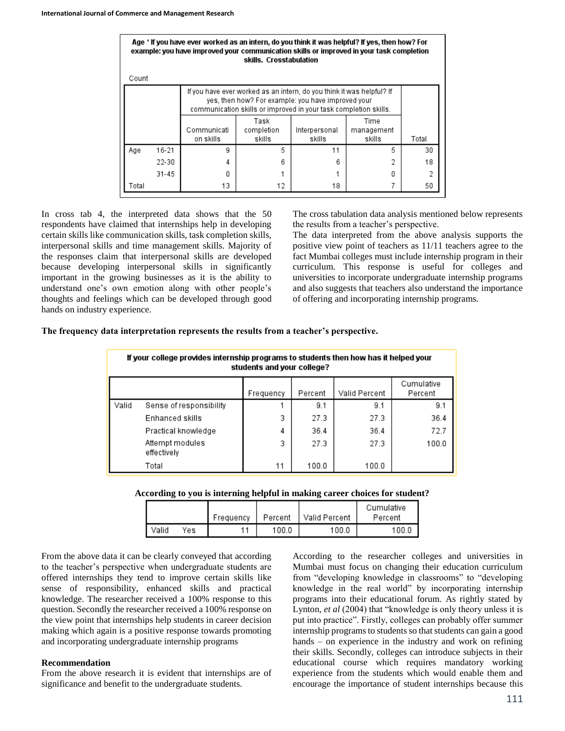|                                                                                                                                                                                                 |           | Age * If you have ever worked as an intern, do you think it was helpful? If yes, then how? For<br>example: you have improved your communication skills or improved in your task completion | skills. Crosstabulation      |                         |                              |       |  |
|-------------------------------------------------------------------------------------------------------------------------------------------------------------------------------------------------|-----------|--------------------------------------------------------------------------------------------------------------------------------------------------------------------------------------------|------------------------------|-------------------------|------------------------------|-------|--|
| Count                                                                                                                                                                                           |           |                                                                                                                                                                                            |                              |                         |                              |       |  |
| If you have ever worked as an intern, do you think it was helpful? If<br>yes, then how? For example: you have improved your<br>communication skills or improved in your task completion skills. |           |                                                                                                                                                                                            |                              |                         |                              |       |  |
|                                                                                                                                                                                                 |           | Communicati<br>on skills                                                                                                                                                                   | Task<br>completion<br>skills | Interpersonal<br>skills | Time<br>management<br>skills | Total |  |
| Age                                                                                                                                                                                             | 16-21     | g                                                                                                                                                                                          | 5                            | 11                      | 5                            | 30    |  |
|                                                                                                                                                                                                 | 22-30     | 4                                                                                                                                                                                          | 6                            | 6                       |                              | 18    |  |
|                                                                                                                                                                                                 | $31 - 45$ | Ω                                                                                                                                                                                          |                              |                         |                              | 2     |  |
| Total                                                                                                                                                                                           |           | 13                                                                                                                                                                                         | 12                           | 18                      |                              | 50    |  |

In cross tab 4, the interpreted data shows that the 50 respondents have claimed that internships help in developing certain skills like communication skills, task completion skills, interpersonal skills and time management skills. Majority of the responses claim that interpersonal skills are developed because developing interpersonal skills in significantly important in the growing businesses as it is the ability to understand one's own emotion along with other people's thoughts and feelings which can be developed through good hands on industry experience.

The cross tabulation data analysis mentioned below represents the results from a teacher's perspective.

The data interpreted from the above analysis supports the positive view point of teachers as 11/11 teachers agree to the fact Mumbai colleges must include internship program in their curriculum. This response is useful for colleges and universities to incorporate undergraduate internship programs and also suggests that teachers also understand the importance of offering and incorporating internship programs.

|  |  |  |  | The frequency data interpretation represents the results from a teacher's perspective. |
|--|--|--|--|----------------------------------------------------------------------------------------|
|  |  |  |  |                                                                                        |

|       | If your college provides internship programs to students then how has it helped your<br>students and your college? |    |       |       |       |  |  |  |
|-------|--------------------------------------------------------------------------------------------------------------------|----|-------|-------|-------|--|--|--|
|       | Cumulative<br>Valid Percent<br>Percent<br>Percent<br>Frequency                                                     |    |       |       |       |  |  |  |
| Valid | Sense of responsibility                                                                                            |    | 9.1   | 9.1   | 9.1   |  |  |  |
|       | Enhanced skills                                                                                                    | 3  | 27.3  | 27.3  | 36.4  |  |  |  |
|       | Practical knowledge                                                                                                | 4  | 36.4  | 36.4  | 72.7  |  |  |  |
|       | Attempt modules<br>effectively                                                                                     | 3  | 27.3  | 27.3  | 100.0 |  |  |  |
|       | Total                                                                                                              | 11 | 100.0 | 100.0 |       |  |  |  |

**According to you is interning helpful in making career choices for student?**

|         |     | Frequency | Percent | l Valid Percent | Cumulative<br>Percent |
|---------|-----|-----------|---------|-----------------|-----------------------|
| l Valid | Yes |           | 100.0   | 100.0           | 100.0                 |

From the above data it can be clearly conveyed that according to the teacher's perspective when undergraduate students are offered internships they tend to improve certain skills like sense of responsibility, enhanced skills and practical knowledge. The researcher received a 100% response to this question. Secondly the researcher received a 100% response on the view point that internships help students in career decision making which again is a positive response towards promoting and incorporating undergraduate internship programs

#### **Recommendation**

From the above research it is evident that internships are of significance and benefit to the undergraduate students.

According to the researcher colleges and universities in Mumbai must focus on changing their education curriculum from "developing knowledge in classrooms" to "developing knowledge in the real world" by incorporating internship programs into their educational forum. As rightly stated by Lynton, *et al* (2004) that "knowledge is only theory unless it is put into practice". Firstly, colleges can probably offer summer internship programs to students so that students can gain a good hands – on experience in the industry and work on refining their skills. Secondly, colleges can introduce subjects in their educational course which requires mandatory working experience from the students which would enable them and encourage the importance of student internships because this